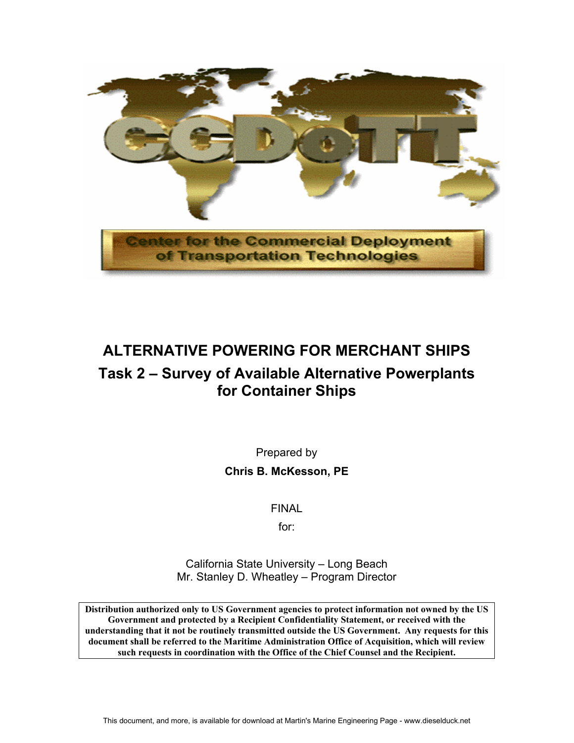

# **ALTERNATIVE POWERING FOR MERCHANT SHIPS Task 2 – Survey of Available Alternative Powerplants for Container Ships**

Prepared by **Chris B. McKesson, PE** 

FINAL

for:

California State University – Long Beach Mr. Stanley D. Wheatley – Program Director

**Distribution authorized only to US Government agencies to protect information not owned by the US Government and protected by a Recipient Confidentiality Statement, or received with the understanding that it not be routinely transmitted outside the US Government. Any requests for this document shall be referred to the Maritime Administration Office of Acquisition, which will review such requests in coordination with the Office of the Chief Counsel and the Recipient.**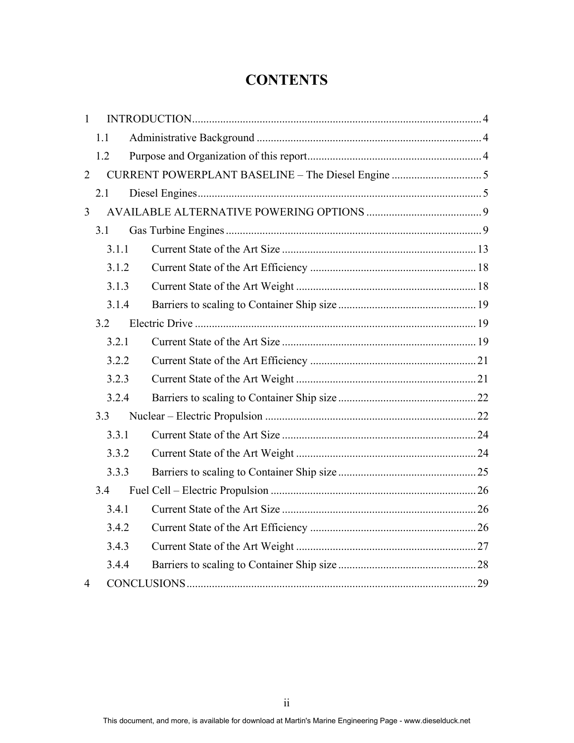# **CONTENTS**

| $\mathbf{1}$   |       |  |  |  |  |  |  |  |
|----------------|-------|--|--|--|--|--|--|--|
|                | 1.1   |  |  |  |  |  |  |  |
|                | 1.2   |  |  |  |  |  |  |  |
| $\overline{2}$ |       |  |  |  |  |  |  |  |
|                | 2.1   |  |  |  |  |  |  |  |
| $\overline{3}$ |       |  |  |  |  |  |  |  |
|                | 3.1   |  |  |  |  |  |  |  |
|                | 3.1.1 |  |  |  |  |  |  |  |
|                | 3.1.2 |  |  |  |  |  |  |  |
|                | 3.1.3 |  |  |  |  |  |  |  |
|                | 3.1.4 |  |  |  |  |  |  |  |
|                | 3.2   |  |  |  |  |  |  |  |
|                | 3.2.1 |  |  |  |  |  |  |  |
|                | 3.2.2 |  |  |  |  |  |  |  |
|                | 3.2.3 |  |  |  |  |  |  |  |
|                | 3.2.4 |  |  |  |  |  |  |  |
|                | 3.3   |  |  |  |  |  |  |  |
|                | 3.3.1 |  |  |  |  |  |  |  |
|                | 3.3.2 |  |  |  |  |  |  |  |
|                | 3.3.3 |  |  |  |  |  |  |  |
|                | 3.4   |  |  |  |  |  |  |  |
|                | 3.4.1 |  |  |  |  |  |  |  |
|                | 3.4.2 |  |  |  |  |  |  |  |
|                | 3.4.3 |  |  |  |  |  |  |  |
|                | 3.4.4 |  |  |  |  |  |  |  |
| 4              |       |  |  |  |  |  |  |  |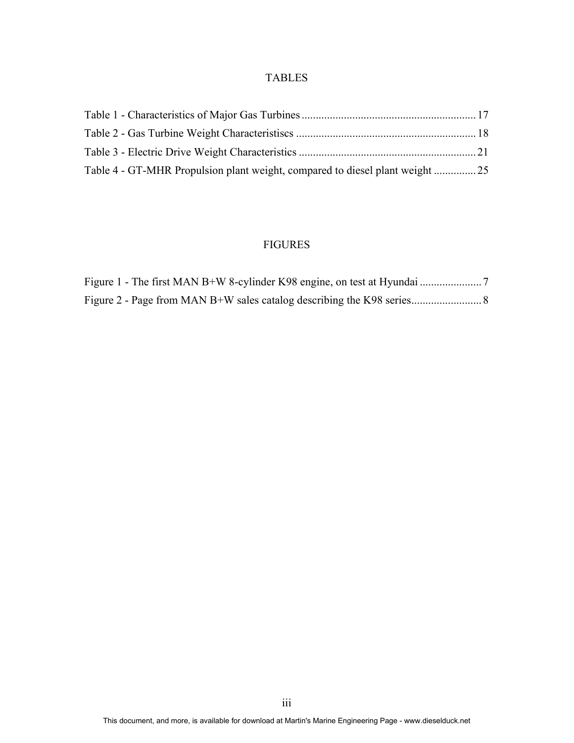#### TABLES

| Table 4 - GT-MHR Propulsion plant weight, compared to diesel plant weight  25 |  |
|-------------------------------------------------------------------------------|--|

## FIGURES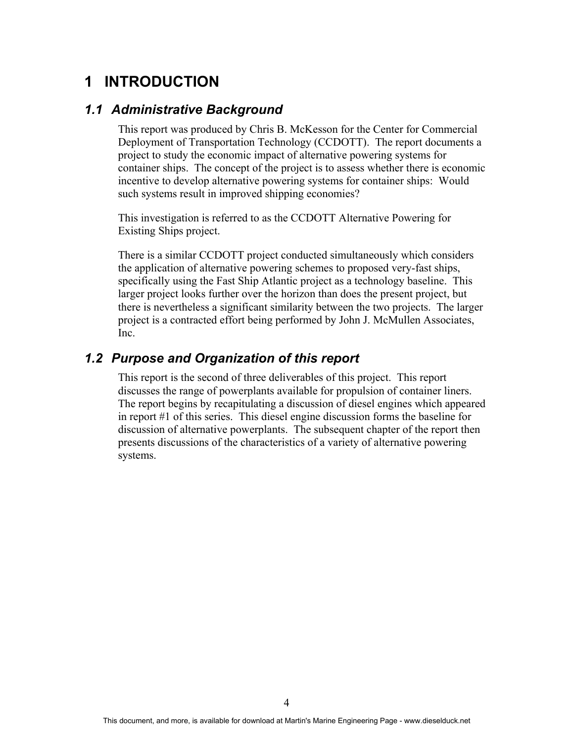# **1 INTRODUCTION**

### *1.1 Administrative Background*

This report was produced by Chris B. McKesson for the Center for Commercial Deployment of Transportation Technology (CCDOTT). The report documents a project to study the economic impact of alternative powering systems for container ships. The concept of the project is to assess whether there is economic incentive to develop alternative powering systems for container ships: Would such systems result in improved shipping economies?

This investigation is referred to as the CCDOTT Alternative Powering for Existing Ships project.

There is a similar CCDOTT project conducted simultaneously which considers the application of alternative powering schemes to proposed very-fast ships, specifically using the Fast Ship Atlantic project as a technology baseline. This larger project looks further over the horizon than does the present project, but there is nevertheless a significant similarity between the two projects. The larger project is a contracted effort being performed by John J. McMullen Associates, Inc.

## *1.2 Purpose and Organization of this report*

This report is the second of three deliverables of this project. This report discusses the range of powerplants available for propulsion of container liners. The report begins by recapitulating a discussion of diesel engines which appeared in report #1 of this series. This diesel engine discussion forms the baseline for discussion of alternative powerplants. The subsequent chapter of the report then presents discussions of the characteristics of a variety of alternative powering systems.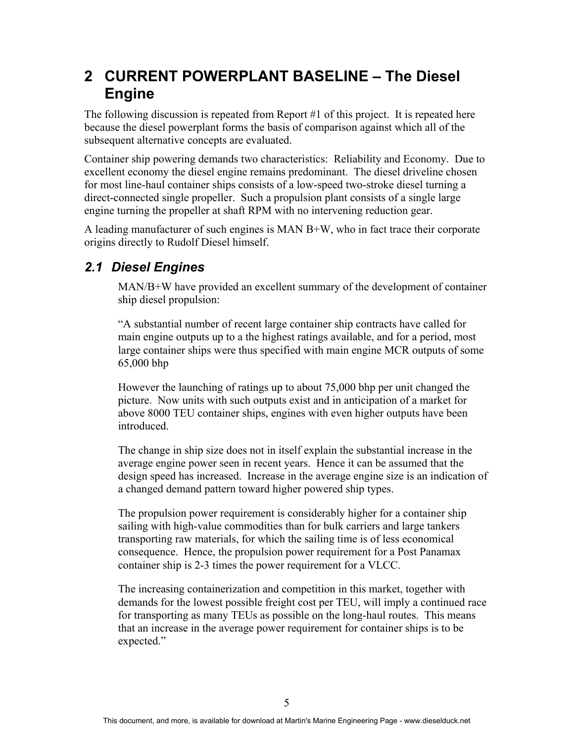# **2 CURRENT POWERPLANT BASELINE – The Diesel Engine**

The following discussion is repeated from Report #1 of this project. It is repeated here because the diesel powerplant forms the basis of comparison against which all of the subsequent alternative concepts are evaluated.

Container ship powering demands two characteristics: Reliability and Economy. Due to excellent economy the diesel engine remains predominant. The diesel driveline chosen for most line-haul container ships consists of a low-speed two-stroke diesel turning a direct-connected single propeller. Such a propulsion plant consists of a single large engine turning the propeller at shaft RPM with no intervening reduction gear.

A leading manufacturer of such engines is MAN B+W, who in fact trace their corporate origins directly to Rudolf Diesel himself.

# *2.1 Diesel Engines*

MAN/B+W have provided an excellent summary of the development of container ship diesel propulsion:

"A substantial number of recent large container ship contracts have called for main engine outputs up to a the highest ratings available, and for a period, most large container ships were thus specified with main engine MCR outputs of some 65,000 bhp

However the launching of ratings up to about 75,000 bhp per unit changed the picture. Now units with such outputs exist and in anticipation of a market for above 8000 TEU container ships, engines with even higher outputs have been introduced.

The change in ship size does not in itself explain the substantial increase in the average engine power seen in recent years. Hence it can be assumed that the design speed has increased. Increase in the average engine size is an indication of a changed demand pattern toward higher powered ship types.

The propulsion power requirement is considerably higher for a container ship sailing with high-value commodities than for bulk carriers and large tankers transporting raw materials, for which the sailing time is of less economical consequence. Hence, the propulsion power requirement for a Post Panamax container ship is 2-3 times the power requirement for a VLCC.

The increasing containerization and competition in this market, together with demands for the lowest possible freight cost per TEU, will imply a continued race for transporting as many TEUs as possible on the long-haul routes. This means that an increase in the average power requirement for container ships is to be expected."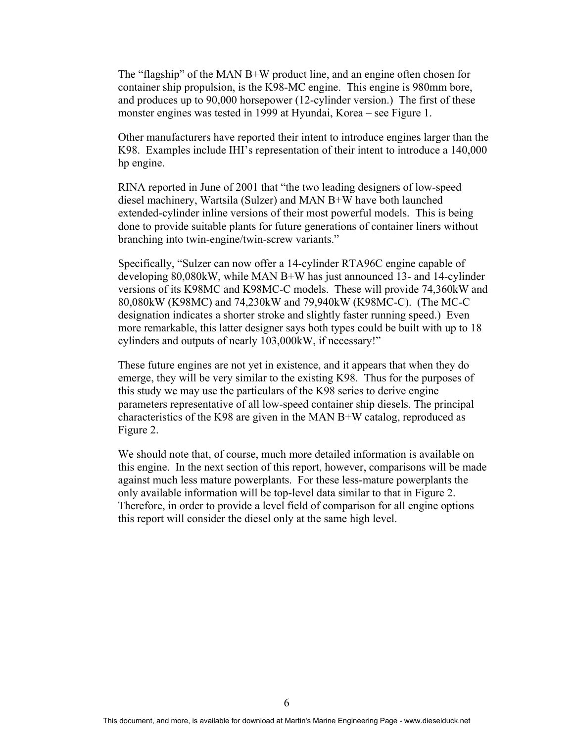The "flagship" of the MAN B+W product line, and an engine often chosen for container ship propulsion, is the K98-MC engine. This engine is 980mm bore, and produces up to 90,000 horsepower (12-cylinder version.) The first of these monster engines was tested in 1999 at Hyundai, Korea – see Figure 1.

Other manufacturers have reported their intent to introduce engines larger than the K98. Examples include IHI's representation of their intent to introduce a 140,000 hp engine.

RINA reported in June of 2001 that "the two leading designers of low-speed diesel machinery, Wartsila (Sulzer) and MAN B+W have both launched extended-cylinder inline versions of their most powerful models. This is being done to provide suitable plants for future generations of container liners without branching into twin-engine/twin-screw variants."

Specifically, "Sulzer can now offer a 14-cylinder RTA96C engine capable of developing 80,080kW, while MAN B+W has just announced 13- and 14-cylinder versions of its K98MC and K98MC-C models. These will provide 74,360kW and 80,080kW (K98MC) and 74,230kW and 79,940kW (K98MC-C). (The MC-C designation indicates a shorter stroke and slightly faster running speed.) Even more remarkable, this latter designer says both types could be built with up to 18 cylinders and outputs of nearly 103,000kW, if necessary!"

These future engines are not yet in existence, and it appears that when they do emerge, they will be very similar to the existing K98. Thus for the purposes of this study we may use the particulars of the K98 series to derive engine parameters representative of all low-speed container ship diesels. The principal characteristics of the K98 are given in the MAN B+W catalog, reproduced as Figure 2.

We should note that, of course, much more detailed information is available on this engine. In the next section of this report, however, comparisons will be made against much less mature powerplants. For these less-mature powerplants the only available information will be top-level data similar to that in Figure 2. Therefore, in order to provide a level field of comparison for all engine options this report will consider the diesel only at the same high level.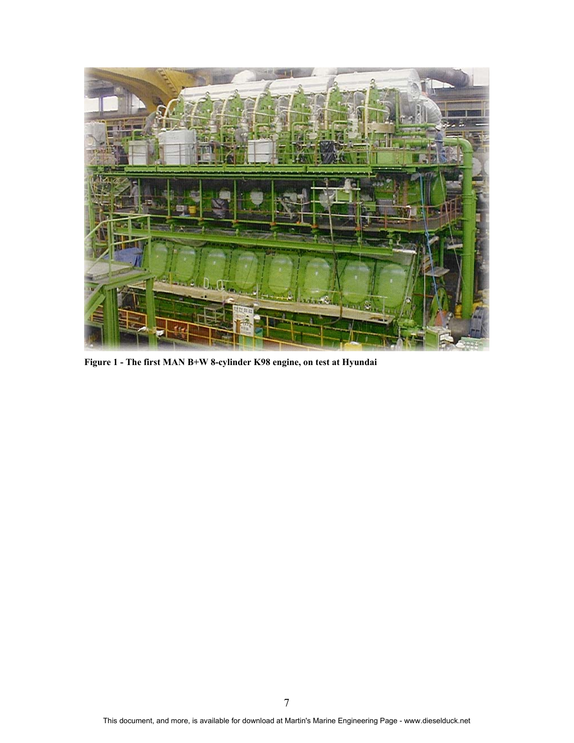

**Figure 1 - The first MAN B+W 8-cylinder K98 engine, on test at Hyundai**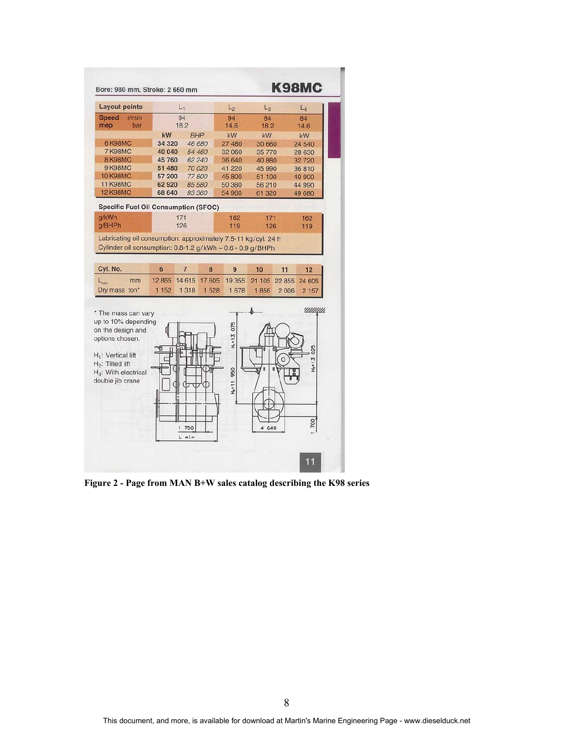

**Figure 2 - Page from MAN B+W sales catalog describing the K98 series**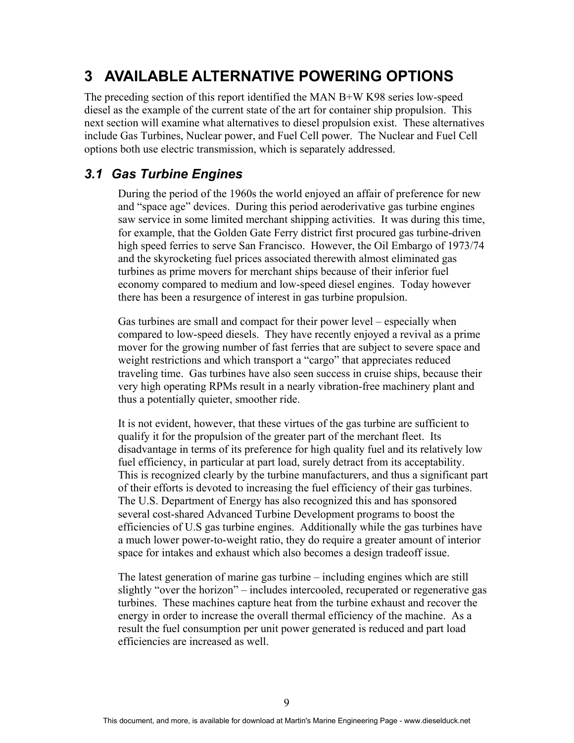# **3 AVAILABLE ALTERNATIVE POWERING OPTIONS**

The preceding section of this report identified the MAN B+W K98 series low-speed diesel as the example of the current state of the art for container ship propulsion. This next section will examine what alternatives to diesel propulsion exist. These alternatives include Gas Turbines, Nuclear power, and Fuel Cell power. The Nuclear and Fuel Cell options both use electric transmission, which is separately addressed.

## *3.1 Gas Turbine Engines*

During the period of the 1960s the world enjoyed an affair of preference for new and "space age" devices. During this period aeroderivative gas turbine engines saw service in some limited merchant shipping activities. It was during this time, for example, that the Golden Gate Ferry district first procured gas turbine-driven high speed ferries to serve San Francisco. However, the Oil Embargo of 1973/74 and the skyrocketing fuel prices associated therewith almost eliminated gas turbines as prime movers for merchant ships because of their inferior fuel economy compared to medium and low-speed diesel engines. Today however there has been a resurgence of interest in gas turbine propulsion.

Gas turbines are small and compact for their power level – especially when compared to low-speed diesels. They have recently enjoyed a revival as a prime mover for the growing number of fast ferries that are subject to severe space and weight restrictions and which transport a "cargo" that appreciates reduced traveling time. Gas turbines have also seen success in cruise ships, because their very high operating RPMs result in a nearly vibration-free machinery plant and thus a potentially quieter, smoother ride.

It is not evident, however, that these virtues of the gas turbine are sufficient to qualify it for the propulsion of the greater part of the merchant fleet. Its disadvantage in terms of its preference for high quality fuel and its relatively low fuel efficiency, in particular at part load, surely detract from its acceptability. This is recognized clearly by the turbine manufacturers, and thus a significant part of their efforts is devoted to increasing the fuel efficiency of their gas turbines. The U.S. Department of Energy has also recognized this and has sponsored several cost-shared Advanced Turbine Development programs to boost the efficiencies of U.S gas turbine engines. Additionally while the gas turbines have a much lower power-to-weight ratio, they do require a greater amount of interior space for intakes and exhaust which also becomes a design tradeoff issue.

The latest generation of marine gas turbine – including engines which are still slightly "over the horizon" – includes intercooled, recuperated or regenerative gas turbines. These machines capture heat from the turbine exhaust and recover the energy in order to increase the overall thermal efficiency of the machine. As a result the fuel consumption per unit power generated is reduced and part load efficiencies are increased as well.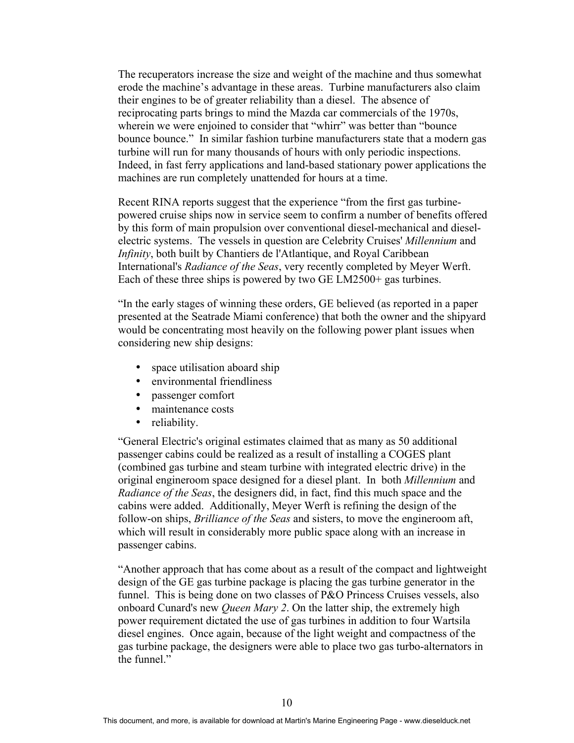The recuperators increase the size and weight of the machine and thus somewhat erode the machine's advantage in these areas. Turbine manufacturers also claim their engines to be of greater reliability than a diesel. The absence of reciprocating parts brings to mind the Mazda car commercials of the 1970s, wherein we were enjoined to consider that "whirr" was better than "bounce" bounce bounce." In similar fashion turbine manufacturers state that a modern gas turbine will run for many thousands of hours with only periodic inspections. Indeed, in fast ferry applications and land-based stationary power applications the machines are run completely unattended for hours at a time.

Recent RINA reports suggest that the experience "from the first gas turbinepowered cruise ships now in service seem to confirm a number of benefits offered by this form of main propulsion over conventional diesel-mechanical and dieselelectric systems. The vessels in question are Celebrity Cruises' *Millennium* and *Infinity*, both built by Chantiers de l'Atlantique, and Royal Caribbean International's *Radiance of the Seas*, very recently completed by Meyer Werft. Each of these three ships is powered by two GE LM2500+ gas turbines.

"In the early stages of winning these orders, GE believed (as reported in a paper presented at the Seatrade Miami conference) that both the owner and the shipyard would be concentrating most heavily on the following power plant issues when considering new ship designs:

- space utilisation aboard ship
- environmental friendliness
- passenger comfort
- maintenance costs
- reliability.

"General Electric's original estimates claimed that as many as 50 additional passenger cabins could be realized as a result of installing a COGES plant (combined gas turbine and steam turbine with integrated electric drive) in the original engineroom space designed for a diesel plant. In both *Millennium* and *Radiance of the Seas*, the designers did, in fact, find this much space and the cabins were added. Additionally, Meyer Werft is refining the design of the follow-on ships, *Brilliance of the Seas* and sisters, to move the engineroom aft, which will result in considerably more public space along with an increase in passenger cabins.

"Another approach that has come about as a result of the compact and lightweight design of the GE gas turbine package is placing the gas turbine generator in the funnel. This is being done on two classes of P&O Princess Cruises vessels, also onboard Cunard's new *Queen Mary 2*. On the latter ship, the extremely high power requirement dictated the use of gas turbines in addition to four Wartsila diesel engines. Once again, because of the light weight and compactness of the gas turbine package, the designers were able to place two gas turbo-alternators in the funnel."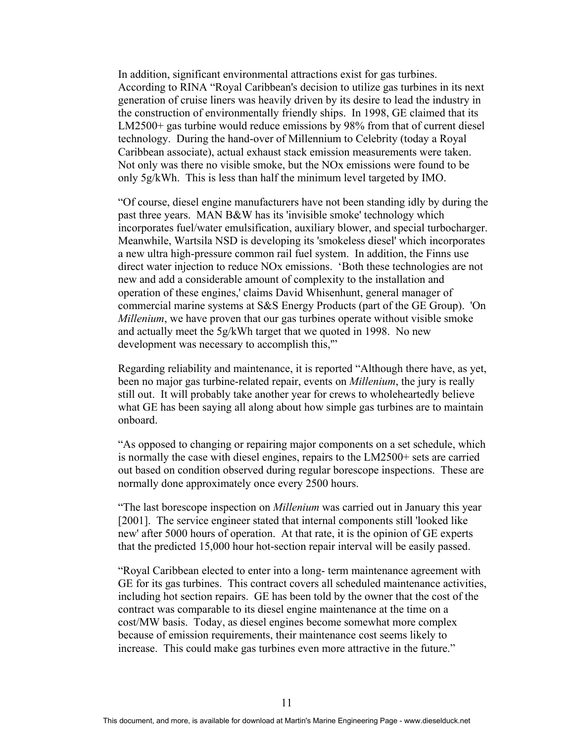In addition, significant environmental attractions exist for gas turbines. According to RINA "Royal Caribbean's decision to utilize gas turbines in its next generation of cruise liners was heavily driven by its desire to lead the industry in the construction of environmentally friendly ships. In 1998, GE claimed that its LM2500+ gas turbine would reduce emissions by 98% from that of current diesel technology. During the hand-over of Millennium to Celebrity (today a Royal Caribbean associate), actual exhaust stack emission measurements were taken. Not only was there no visible smoke, but the NOx emissions were found to be only 5g/kWh. This is less than half the minimum level targeted by IMO.

"Of course, diesel engine manufacturers have not been standing idly by during the past three years. MAN B&W has its 'invisible smoke' technology which incorporates fuel/water emulsification, auxiliary blower, and special turbocharger. Meanwhile, Wartsila NSD is developing its 'smokeless diesel' which incorporates a new ultra high-pressure common rail fuel system. In addition, the Finns use direct water injection to reduce NOx emissions. 'Both these technologies are not new and add a considerable amount of complexity to the installation and operation of these engines,' claims David Whisenhunt, general manager of commercial marine systems at S&S Energy Products (part of the GE Group). 'On *Millenium*, we have proven that our gas turbines operate without visible smoke and actually meet the 5g/kWh target that we quoted in 1998. No new development was necessary to accomplish this,'"

Regarding reliability and maintenance, it is reported "Although there have, as yet, been no major gas turbine-related repair, events on *Millenium*, the jury is really still out. It will probably take another year for crews to wholeheartedly believe what GE has been saying all along about how simple gas turbines are to maintain onboard.

"As opposed to changing or repairing major components on a set schedule, which is normally the case with diesel engines, repairs to the LM2500+ sets are carried out based on condition observed during regular borescope inspections. These are normally done approximately once every 2500 hours.

"The last borescope inspection on *Millenium* was carried out in January this year [2001]. The service engineer stated that internal components still 'looked like new' after 5000 hours of operation. At that rate, it is the opinion of GE experts that the predicted 15,000 hour hot-section repair interval will be easily passed.

"Royal Caribbean elected to enter into a long- term maintenance agreement with GE for its gas turbines. This contract covers all scheduled maintenance activities, including hot section repairs. GE has been told by the owner that the cost of the contract was comparable to its diesel engine maintenance at the time on a cost/MW basis. Today, as diesel engines become somewhat more complex because of emission requirements, their maintenance cost seems likely to increase. This could make gas turbines even more attractive in the future."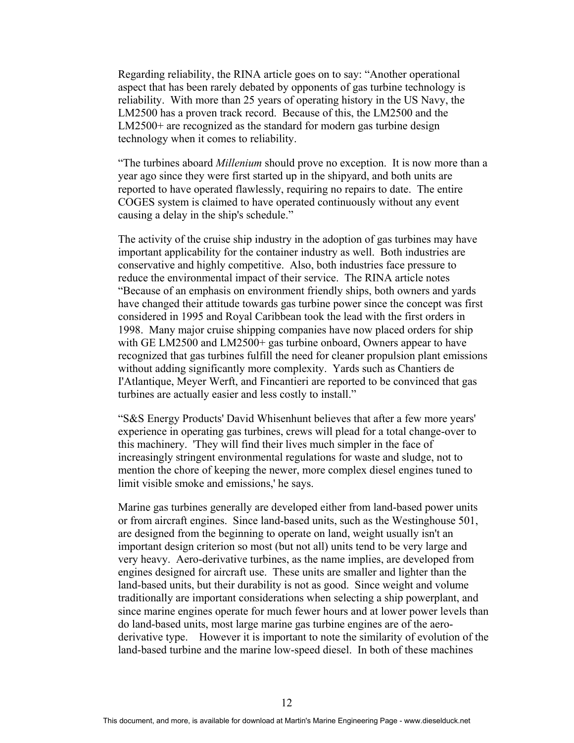Regarding reliability, the RINA article goes on to say: "Another operational aspect that has been rarely debated by opponents of gas turbine technology is reliability. With more than 25 years of operating history in the US Navy, the LM2500 has a proven track record. Because of this, the LM2500 and the LM2500+ are recognized as the standard for modern gas turbine design technology when it comes to reliability.

"The turbines aboard *Millenium* should prove no exception. It is now more than a year ago since they were first started up in the shipyard, and both units are reported to have operated flawlessly, requiring no repairs to date. The entire COGES system is claimed to have operated continuously without any event causing a delay in the ship's schedule."

The activity of the cruise ship industry in the adoption of gas turbines may have important applicability for the container industry as well. Both industries are conservative and highly competitive. Also, both industries face pressure to reduce the environmental impact of their service. The RINA article notes "Because of an emphasis on environment friendly ships, both owners and yards have changed their attitude towards gas turbine power since the concept was first considered in 1995 and Royal Caribbean took the lead with the first orders in 1998. Many major cruise shipping companies have now placed orders for ship with GE LM2500 and LM2500+ gas turbine onboard, Owners appear to have recognized that gas turbines fulfill the need for cleaner propulsion plant emissions without adding significantly more complexity. Yards such as Chantiers de I'Atlantique, Meyer Werft, and Fincantieri are reported to be convinced that gas turbines are actually easier and less costly to install."

"S&S Energy Products' David Whisenhunt believes that after a few more years' experience in operating gas turbines, crews will plead for a total change-over to this machinery. 'They will find their lives much simpler in the face of increasingly stringent environmental regulations for waste and sludge, not to mention the chore of keeping the newer, more complex diesel engines tuned to limit visible smoke and emissions,' he says.

Marine gas turbines generally are developed either from land-based power units or from aircraft engines. Since land-based units, such as the Westinghouse 501, are designed from the beginning to operate on land, weight usually isn't an important design criterion so most (but not all) units tend to be very large and very heavy. Aero-derivative turbines, as the name implies, are developed from engines designed for aircraft use. These units are smaller and lighter than the land-based units, but their durability is not as good. Since weight and volume traditionally are important considerations when selecting a ship powerplant, and since marine engines operate for much fewer hours and at lower power levels than do land-based units, most large marine gas turbine engines are of the aeroderivative type. However it is important to note the similarity of evolution of the land-based turbine and the marine low-speed diesel. In both of these machines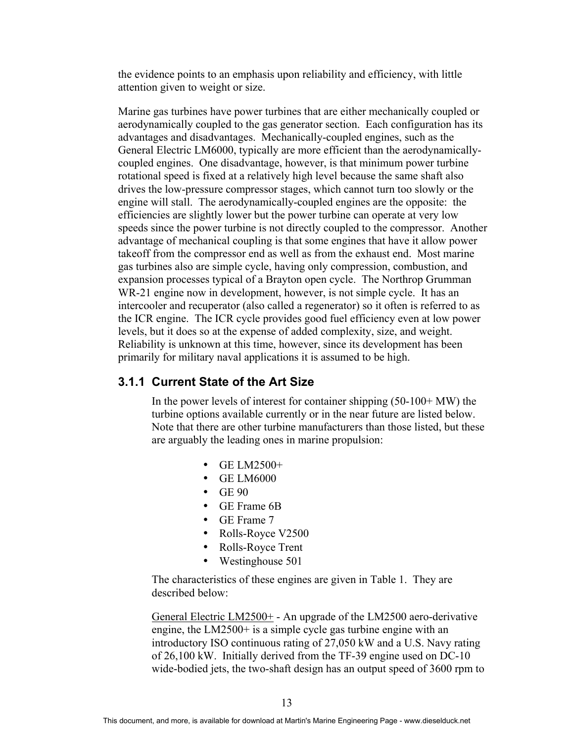the evidence points to an emphasis upon reliability and efficiency, with little attention given to weight or size.

Marine gas turbines have power turbines that are either mechanically coupled or aerodynamically coupled to the gas generator section. Each configuration has its advantages and disadvantages. Mechanically-coupled engines, such as the General Electric LM6000, typically are more efficient than the aerodynamicallycoupled engines. One disadvantage, however, is that minimum power turbine rotational speed is fixed at a relatively high level because the same shaft also drives the low-pressure compressor stages, which cannot turn too slowly or the engine will stall. The aerodynamically-coupled engines are the opposite: the efficiencies are slightly lower but the power turbine can operate at very low speeds since the power turbine is not directly coupled to the compressor. Another advantage of mechanical coupling is that some engines that have it allow power takeoff from the compressor end as well as from the exhaust end. Most marine gas turbines also are simple cycle, having only compression, combustion, and expansion processes typical of a Brayton open cycle. The Northrop Grumman WR-21 engine now in development, however, is not simple cycle. It has an intercooler and recuperator (also called a regenerator) so it often is referred to as the ICR engine. The ICR cycle provides good fuel efficiency even at low power levels, but it does so at the expense of added complexity, size, and weight. Reliability is unknown at this time, however, since its development has been primarily for military naval applications it is assumed to be high.

#### **3.1.1 Current State of the Art Size**

In the power levels of interest for container shipping  $(50-100+ MW)$  the turbine options available currently or in the near future are listed below. Note that there are other turbine manufacturers than those listed, but these are arguably the leading ones in marine propulsion:

- $\bullet$  GE LM2500+
- GE LM6000
- $\bullet$  GE 90
- GE Frame 6B
- GE Frame 7
- Rolls-Royce V2500
- Rolls-Royce Trent
- Westinghouse 501

The characteristics of these engines are given in Table 1. They are described below:

General Electric LM2500+ - An upgrade of the LM2500 aero-derivative engine, the LM2500+ is a simple cycle gas turbine engine with an introductory ISO continuous rating of 27,050 kW and a U.S. Navy rating of 26,100 kW. Initially derived from the TF-39 engine used on DC-10 wide-bodied jets, the two-shaft design has an output speed of 3600 rpm to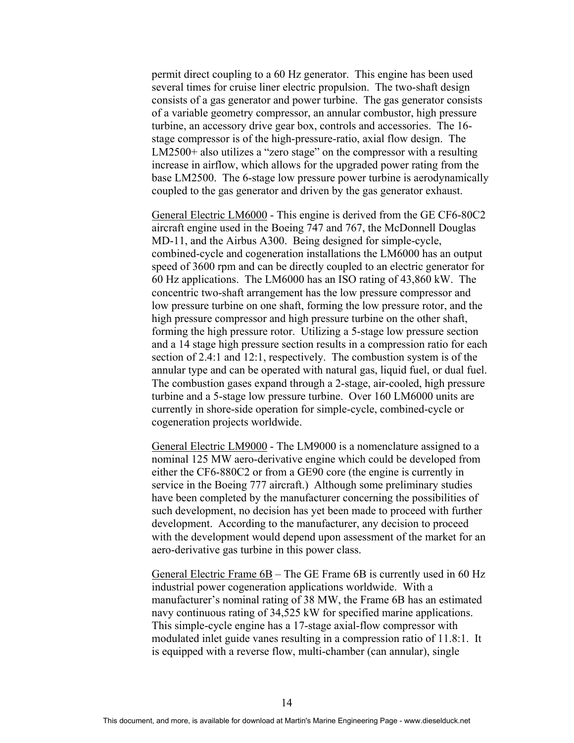permit direct coupling to a 60 Hz generator. This engine has been used several times for cruise liner electric propulsion. The two-shaft design consists of a gas generator and power turbine. The gas generator consists of a variable geometry compressor, an annular combustor, high pressure turbine, an accessory drive gear box, controls and accessories. The 16 stage compressor is of the high-pressure-ratio, axial flow design. The LM2500+ also utilizes a "zero stage" on the compressor with a resulting increase in airflow, which allows for the upgraded power rating from the base LM2500. The 6-stage low pressure power turbine is aerodynamically coupled to the gas generator and driven by the gas generator exhaust.

General Electric LM6000 - This engine is derived from the GE CF6-80C2 aircraft engine used in the Boeing 747 and 767, the McDonnell Douglas MD-11, and the Airbus A300. Being designed for simple-cycle, combined-cycle and cogeneration installations the LM6000 has an output speed of 3600 rpm and can be directly coupled to an electric generator for 60 Hz applications. The LM6000 has an ISO rating of 43,860 kW. The concentric two-shaft arrangement has the low pressure compressor and low pressure turbine on one shaft, forming the low pressure rotor, and the high pressure compressor and high pressure turbine on the other shaft, forming the high pressure rotor. Utilizing a 5-stage low pressure section and a 14 stage high pressure section results in a compression ratio for each section of 2.4:1 and 12:1, respectively. The combustion system is of the annular type and can be operated with natural gas, liquid fuel, or dual fuel. The combustion gases expand through a 2-stage, air-cooled, high pressure turbine and a 5-stage low pressure turbine. Over 160 LM6000 units are currently in shore-side operation for simple-cycle, combined-cycle or cogeneration projects worldwide.

General Electric LM9000 - The LM9000 is a nomenclature assigned to a nominal 125 MW aero-derivative engine which could be developed from either the CF6-880C2 or from a GE90 core (the engine is currently in service in the Boeing 777 aircraft.) Although some preliminary studies have been completed by the manufacturer concerning the possibilities of such development, no decision has yet been made to proceed with further development. According to the manufacturer, any decision to proceed with the development would depend upon assessment of the market for an aero-derivative gas turbine in this power class.

General Electric Frame 6B – The GE Frame 6B is currently used in 60 Hz industrial power cogeneration applications worldwide. With a manufacturer's nominal rating of 38 MW, the Frame 6B has an estimated navy continuous rating of 34,525 kW for specified marine applications. This simple-cycle engine has a 17-stage axial-flow compressor with modulated inlet guide vanes resulting in a compression ratio of 11.8:1. It is equipped with a reverse flow, multi-chamber (can annular), single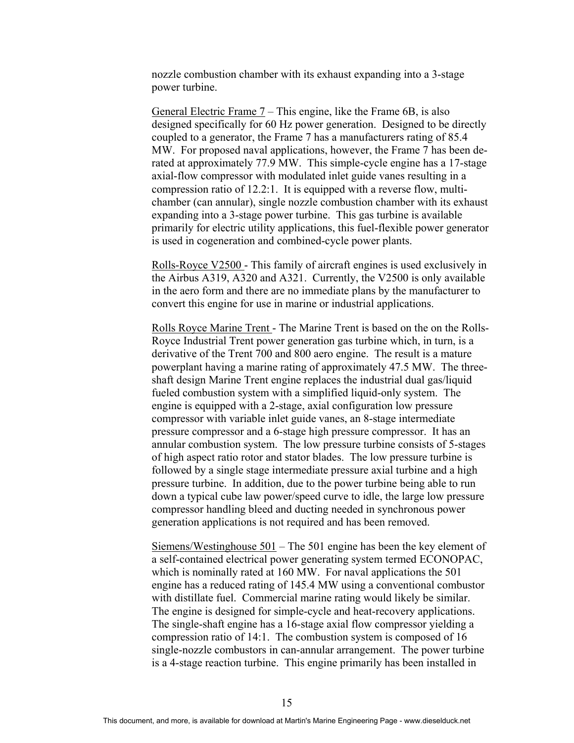nozzle combustion chamber with its exhaust expanding into a 3-stage power turbine.

General Electric Frame 7 – This engine, like the Frame 6B, is also designed specifically for 60 Hz power generation. Designed to be directly coupled to a generator, the Frame 7 has a manufacturers rating of 85.4 MW. For proposed naval applications, however, the Frame 7 has been derated at approximately 77.9 MW. This simple-cycle engine has a 17-stage axial-flow compressor with modulated inlet guide vanes resulting in a compression ratio of 12.2:1. It is equipped with a reverse flow, multichamber (can annular), single nozzle combustion chamber with its exhaust expanding into a 3-stage power turbine. This gas turbine is available primarily for electric utility applications, this fuel-flexible power generator is used in cogeneration and combined-cycle power plants.

Rolls-Royce V2500 - This family of aircraft engines is used exclusively in the Airbus A319, A320 and A321. Currently, the V2500 is only available in the aero form and there are no immediate plans by the manufacturer to convert this engine for use in marine or industrial applications.

Rolls Royce Marine Trent - The Marine Trent is based on the on the Rolls-Royce Industrial Trent power generation gas turbine which, in turn, is a derivative of the Trent 700 and 800 aero engine. The result is a mature powerplant having a marine rating of approximately 47.5 MW. The threeshaft design Marine Trent engine replaces the industrial dual gas/liquid fueled combustion system with a simplified liquid-only system. The engine is equipped with a 2-stage, axial configuration low pressure compressor with variable inlet guide vanes, an 8-stage intermediate pressure compressor and a 6-stage high pressure compressor. It has an annular combustion system. The low pressure turbine consists of 5-stages of high aspect ratio rotor and stator blades. The low pressure turbine is followed by a single stage intermediate pressure axial turbine and a high pressure turbine. In addition, due to the power turbine being able to run down a typical cube law power/speed curve to idle, the large low pressure compressor handling bleed and ducting needed in synchronous power generation applications is not required and has been removed.

Siemens/Westinghouse 501 – The 501 engine has been the key element of a self-contained electrical power generating system termed ECONOPAC, which is nominally rated at 160 MW. For naval applications the 501 engine has a reduced rating of 145.4 MW using a conventional combustor with distillate fuel. Commercial marine rating would likely be similar. The engine is designed for simple-cycle and heat-recovery applications. The single-shaft engine has a 16-stage axial flow compressor yielding a compression ratio of 14:1. The combustion system is composed of 16 single-nozzle combustors in can-annular arrangement. The power turbine is a 4-stage reaction turbine. This engine primarily has been installed in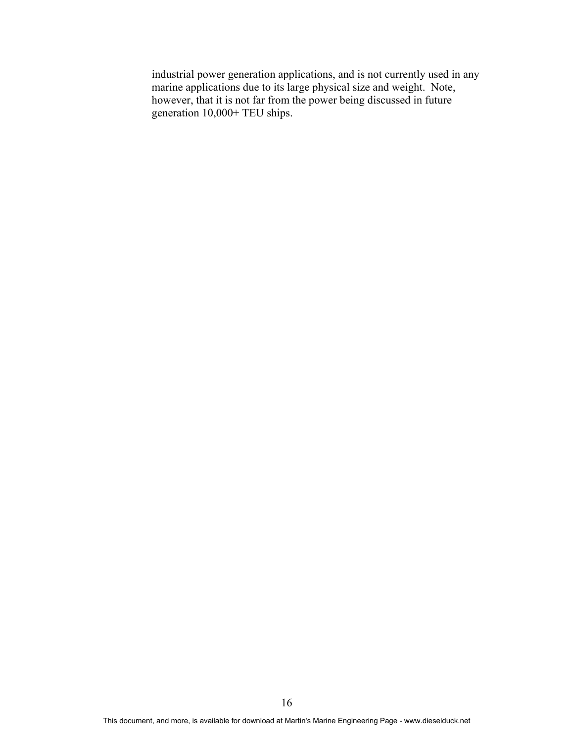industrial power generation applications, and is not currently used in any marine applications due to its large physical size and weight. Note, however, that it is not far from the power being discussed in future generation 10,000+ TEU ships.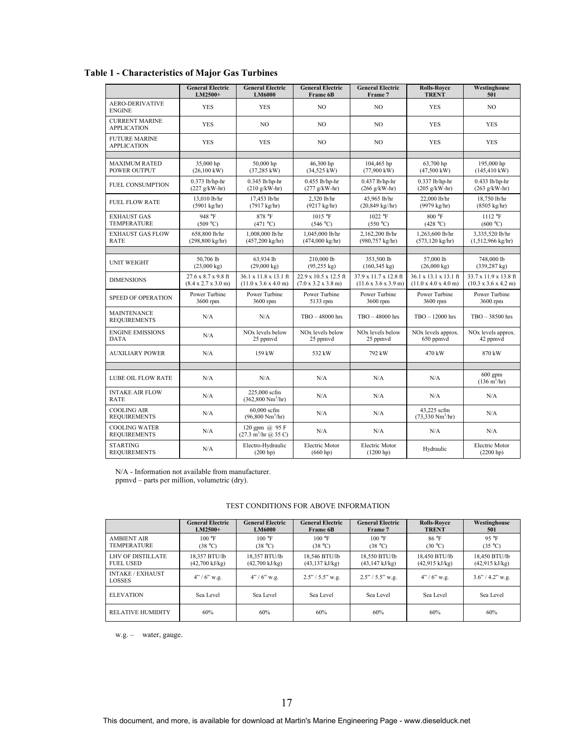|                                             | <b>General Electric</b><br>LM2500+                             | <b>General Electric</b><br>LM6000                                   | <b>General Electric</b><br>Frame 6B                              | <b>General Electric</b><br>Frame 7                                | <b>Rolls-Rovce</b><br><b>TRENT</b>               | Westinghouse<br>501                                               |
|---------------------------------------------|----------------------------------------------------------------|---------------------------------------------------------------------|------------------------------------------------------------------|-------------------------------------------------------------------|--------------------------------------------------|-------------------------------------------------------------------|
| <b>AERO-DERIVATIVE</b><br><b>ENGINE</b>     | <b>YES</b>                                                     | <b>YES</b>                                                          | NO.                                                              | NO.                                                               | <b>YES</b>                                       | NO.                                                               |
| <b>CURRENT MARINE</b><br><b>APPLICATION</b> | <b>YES</b>                                                     | NO.                                                                 | NO.                                                              | NO.                                                               | <b>YES</b>                                       | <b>YES</b>                                                        |
| <b>FUTURE MARINE</b><br><b>APPLICATION</b>  | <b>YES</b>                                                     | <b>YES</b>                                                          | NO.                                                              | NO.                                                               | <b>YES</b>                                       | <b>YES</b>                                                        |
|                                             |                                                                |                                                                     |                                                                  |                                                                   |                                                  |                                                                   |
| <b>MAXIMUM RATED</b><br>POWER OUTPUT        | 35,000 hp<br>$(26,100 \text{ kW})$                             | 50,000 hp<br>$(37,285 \text{ kW})$                                  | 46,300 hp<br>$(34,525 \text{ kW})$                               | 104,465 hp<br>$(77,900 \text{ kW})$                               | 63,700 hp<br>$(47,500 \text{ kW})$               | 195,000 hp<br>$(145, 410 \text{ kW})$                             |
| <b>FUEL CONSUMPTION</b>                     | $0.373$ lb/hp-hr<br>$(227 g/kW-hr)$                            | $0.345$ lb/hp-hr<br>$(210 g/kW-hr)$                                 | $0.455$ lb/hp-hr<br>$(277 g/kW-hr)$                              | $0.437$ lb/hp-hr<br>$(266 g/kW-hr)$                               | $0.337$ lb/hp-hr<br>$(205 \text{ g/kW-hr})$      | $0.433$ lb/hp-hr<br>$(263 g/kW-hr)$                               |
| <b>FUEL FLOW RATE</b>                       | 13,010 lb/hr<br>$(5901 \text{ kg/hr})$                         | 17,453 lb/hr<br>(7917 kg/hr)                                        | 2,320 lb/hr<br>$(9217 \text{ kg/hr})$                            | 45,965 lb/hr<br>$(20,849 \text{ kg} / \text{hr})$                 | 22,000 lb/hr<br>(9979 kg/hr)                     | 18,750 lb/hr<br>$(8505 \text{ kg/hr})$                            |
| <b>EXHAUST GAS</b><br><b>TEMPERATURE</b>    | 948 °F<br>(509 °C)                                             | 878 °F<br>(471 °C)                                                  | 1015 °F<br>(546 °C)                                              | 1022 °F<br>(550 °C)                                               | 800 °F<br>(428 °C)                               | $1112 \text{ }^{\circ} \text{F}$<br>(600 °C)                      |
| <b>EXHAUST GAS FLOW</b><br><b>RATE</b>      | 658,800 lb/hr<br>$(298, 800 \text{ kg/hr})$                    | 1,008,000 lb/hr<br>$(457,200 \text{ kg/hr})$                        | 1,045,000 lb/hr<br>$(474,000 \text{ kg/hr})$                     | 2,162,200 lb/hr<br>$(980, 757 \text{ kg/hr})$                     | 1,263,600 lb/hr<br>$(573, 120 \text{ kg/hr})$    | 3,335,520 lb/hr<br>$(1,512,966 \text{ kg/hr})$                    |
|                                             |                                                                |                                                                     |                                                                  |                                                                   |                                                  |                                                                   |
| <b>UNIT WEIGHT</b>                          | 50,706 lb<br>$(23,000 \text{ kg})$                             | 63,934 lb<br>$(29,000 \text{ kg})$                                  | 210,000 lb<br>$(95,255 \text{ kg})$                              | 353,500 lb<br>$(160, 345 \text{ kg})$                             | 57,000 lb<br>$(26,000 \text{ kg})$               | 748,000 lb<br>$(339, 287$ kg)                                     |
| <b>DIMENSIONS</b>                           | 27.6 x 8.7 x 9.8 ft<br>$(8.4 \times 2.7 \times 3.0 \text{ m})$ | 36.1 x 11.8 x 13.1 ft<br>$(11.0 \times 3.6 \times 4.0 \text{ m})$   | 22.9 x 10.5 x 12.5 ft<br>$(7.0 \times 3.2 \times 3.8 \text{ m})$ | 37.9 x 11.7 x 12.8 ft<br>$(11.6 \times 3.6 \times 3.9 \text{ m})$ | 36.1 x 13.1 x 13.1 ft<br>(11.0 x 4.0 x 4.0 m)    | 33.7 x 11.9 x 13.8 ft<br>$(10.3 \times 3.6 \times 4.2 \text{ m})$ |
| SPEED OF OPERATION                          | Power Turbine<br>3600 rpm                                      | Power Turbine<br>3600 rpm                                           | Power Turbine<br>5133 rpm                                        | Power Turbine<br>3600 rpm                                         | Power Turbine<br>3600 rpm                        | Power Turbine<br>3600 rpm                                         |
| <b>MAINTENANCE</b><br><b>REQUIREMENTS</b>   | N/A                                                            | N/A                                                                 | TBO-48000 hrs                                                    | TBO-48000 hrs                                                     | $TBO - 12000$ hrs                                | TBO - 38500 hrs                                                   |
| <b>ENGINE EMISSIONS</b><br><b>DATA</b>      | N/A                                                            | NO <sub>x</sub> levels below<br>25 ppmvd                            | NO <sub>x</sub> levels below<br>25 ppmvd                         | NO <sub>x</sub> levels below<br>25 ppmvd                          | NO <sub>x</sub> levels approx.<br>650 ppmvd      | NO <sub>x</sub> levels approx.<br>42 ppmvd                        |
| <b>AUXILIARY POWER</b>                      | N/A                                                            | 159 kW                                                              | 532 kW                                                           | 792 kW                                                            | 470 kW                                           | 870 kW                                                            |
|                                             |                                                                |                                                                     |                                                                  |                                                                   |                                                  |                                                                   |
| <b>LUBE OIL FLOW RATE</b>                   | N/A                                                            | N/A                                                                 | N/A                                                              | N/A                                                               | N/A                                              | $600$ gpm<br>$(136 \text{ m}^3/\text{hr})$                        |
| <b>INTAKE AIR FLOW</b><br><b>RATE</b>       | N/A                                                            | 225,000 scfm<br>$(362,800 \text{ Nm}^3/\text{hr})$                  | N/A                                                              | N/A                                                               | N/A                                              | N/A                                                               |
| <b>COOLING AIR</b><br><b>REQUIREMENTS</b>   | N/A                                                            | 60,000 scfm<br>$(96,800 \text{ Nm}^3/\text{hr})$                    | N/A                                                              | N/A                                                               | 43,225 scfm<br>$(73,330 \text{ Nm}^3/\text{hr})$ | N/A                                                               |
| <b>COOLING WATER</b><br><b>REQUIREMENTS</b> | N/A                                                            | 120 gpm @ 95 F<br>$(27.3 \text{ m}^3/\text{hr} \ (a) 35 \text{ C})$ | N/A                                                              | N/A                                                               | N/A                                              | N/A                                                               |
| <b>STARTING</b><br><b>REQUIREMENTS</b>      | N/A                                                            | Electro-Hydraulic<br>(200 h p)                                      | Electric Motor<br>(660 hp)                                       | Electric Motor<br>(1200 hp)                                       | Hydraulic                                        | Electric Motor<br>(2200 hp)                                       |

**Table 1 - Characteristics of Major Gas Turbines** 

N/A - Information not available from manufacturer.

ppmvd – parts per million, volumetric (dry).

#### TEST CONDITIONS FOR ABOVE INFORMATION

|                                          | <b>General Electric</b>  | <b>General Electric</b>  | <b>General Electric</b>   | <b>General Electric</b>   | <b>Rolls-Rovce</b>       | Westinghouse             |
|------------------------------------------|--------------------------|--------------------------|---------------------------|---------------------------|--------------------------|--------------------------|
|                                          | $LM2500+$                | <b>LM6000</b>            | <b>Frame 6B</b>           | Frame 7                   | <b>TRENT</b>             | 501                      |
| <b>AMBIENT AIR</b>                       | 100 °F                   | 100 °F                   | 100 °F                    | $100 \text{ °F}$          | $86^{\circ}$ F           | 95 °F                    |
| <b>TEMPERATURE</b>                       | (38 °C)                  | (38 °C)                  | (38 °C)                   | (38 °C)                   | (30 °C)                  | (35 °C)                  |
| <b>LHV OF DISTILLATE</b>                 | 18,357 BTU/lb            | 18.357 BTU/lb            | 18,546 BTU/lb             | 18.550 BTU/lb             | 18.450 BTU/lb            | 18,450 BTU/lb            |
| <b>FUEL USED</b>                         | $(42,700 \text{ kJ/kg})$ | $(42,700 \text{ kJ/kg})$ | $(43, 137 \text{ kJ/kg})$ | $(43, 147 \text{ kJ/kg})$ | $(42.915 \text{ kJ/kg})$ | $(42.915 \text{ kJ/kg})$ |
| <b>INTAKE / EXHAUST</b><br><b>LOSSES</b> | $4''/6''$ w.g.           | $4''/6''$ w.g.           | $2.5" / 5.5"$ w.g.        | $2.5" / 5.5"$ w.g.        | $4''/6''$ w.g.           | $3.6'' / 4.2''$ w.g.     |
| <b>ELEVATION</b>                         | Sea Level                | Sea Level                | Sea Level                 | Sea Level                 | Sea Level                | Sea Level                |
| <b>RELATIVE HUMIDITY</b>                 | 60%                      | 60%                      | 60%                       | 60%                       | 60%                      | 60%                      |

w.g. – water, gauge.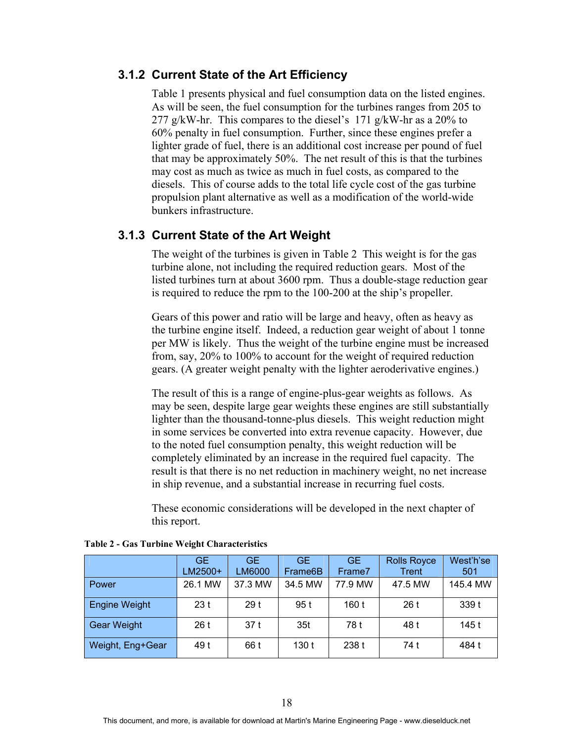#### **3.1.2 Current State of the Art Efficiency**

Table 1 presents physical and fuel consumption data on the listed engines. As will be seen, the fuel consumption for the turbines ranges from 205 to 277 g/kW-hr. This compares to the diesel's 171 g/kW-hr as a 20% to 60% penalty in fuel consumption. Further, since these engines prefer a lighter grade of fuel, there is an additional cost increase per pound of fuel that may be approximately 50%. The net result of this is that the turbines may cost as much as twice as much in fuel costs, as compared to the diesels. This of course adds to the total life cycle cost of the gas turbine propulsion plant alternative as well as a modification of the world-wide bunkers infrastructure.

#### **3.1.3 Current State of the Art Weight**

The weight of the turbines is given in Table 2 This weight is for the gas turbine alone, not including the required reduction gears. Most of the listed turbines turn at about 3600 rpm. Thus a double-stage reduction gear is required to reduce the rpm to the 100-200 at the ship's propeller.

Gears of this power and ratio will be large and heavy, often as heavy as the turbine engine itself. Indeed, a reduction gear weight of about 1 tonne per MW is likely. Thus the weight of the turbine engine must be increased from, say, 20% to 100% to account for the weight of required reduction gears. (A greater weight penalty with the lighter aeroderivative engines.)

The result of this is a range of engine-plus-gear weights as follows. As may be seen, despite large gear weights these engines are still substantially lighter than the thousand-tonne-plus diesels. This weight reduction might in some services be converted into extra revenue capacity. However, due to the noted fuel consumption penalty, this weight reduction will be completely eliminated by an increase in the required fuel capacity. The result is that there is no net reduction in machinery weight, no net increase in ship revenue, and a substantial increase in recurring fuel costs.

These economic considerations will be developed in the next chapter of this report.

|                      | <b>GE</b><br>LM2500+ | <b>GE</b><br>LM6000 | <b>GE</b><br>Frame6B | GE.<br>Frame7 | <b>Rolls Royce</b><br>Trent | West'h'se<br>501 |
|----------------------|----------------------|---------------------|----------------------|---------------|-----------------------------|------------------|
| Power                | 26.1 MW              | 37.3 MW             | 34.5 MW              | 77.9 MW       | 47.5 MW                     | 145.4 MW         |
| <b>Engine Weight</b> | 23t                  | 29 <sub>t</sub>     | 95 t                 | 160 t         | 26t                         | 339t             |
| Gear Weight          | 26t                  | 37t                 | 35 <sub>t</sub>      | 78 t          | 48 t                        | 145 t            |
| Weight, Eng+Gear     | 49 t                 | 66 t                | 130 t                | 238 t         | 74 t                        | 484 t            |

**Table 2 - Gas Turbine Weight Characteristics**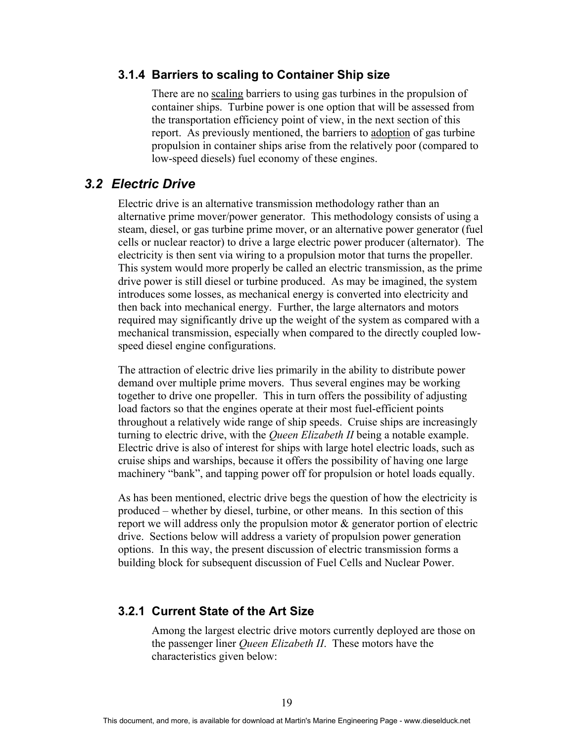#### **3.1.4 Barriers to scaling to Container Ship size**

There are no scaling barriers to using gas turbines in the propulsion of container ships. Turbine power is one option that will be assessed from the transportation efficiency point of view, in the next section of this report. As previously mentioned, the barriers to adoption of gas turbine propulsion in container ships arise from the relatively poor (compared to low-speed diesels) fuel economy of these engines.

### *3.2 Electric Drive*

Electric drive is an alternative transmission methodology rather than an alternative prime mover/power generator. This methodology consists of using a steam, diesel, or gas turbine prime mover, or an alternative power generator (fuel cells or nuclear reactor) to drive a large electric power producer (alternator). The electricity is then sent via wiring to a propulsion motor that turns the propeller. This system would more properly be called an electric transmission, as the prime drive power is still diesel or turbine produced. As may be imagined, the system introduces some losses, as mechanical energy is converted into electricity and then back into mechanical energy. Further, the large alternators and motors required may significantly drive up the weight of the system as compared with a mechanical transmission, especially when compared to the directly coupled lowspeed diesel engine configurations.

The attraction of electric drive lies primarily in the ability to distribute power demand over multiple prime movers. Thus several engines may be working together to drive one propeller. This in turn offers the possibility of adjusting load factors so that the engines operate at their most fuel-efficient points throughout a relatively wide range of ship speeds. Cruise ships are increasingly turning to electric drive, with the *Queen Elizabeth II* being a notable example. Electric drive is also of interest for ships with large hotel electric loads, such as cruise ships and warships, because it offers the possibility of having one large machinery "bank", and tapping power off for propulsion or hotel loads equally.

As has been mentioned, electric drive begs the question of how the electricity is produced – whether by diesel, turbine, or other means. In this section of this report we will address only the propulsion motor & generator portion of electric drive. Sections below will address a variety of propulsion power generation options. In this way, the present discussion of electric transmission forms a building block for subsequent discussion of Fuel Cells and Nuclear Power.

#### **3.2.1 Current State of the Art Size**

Among the largest electric drive motors currently deployed are those on the passenger liner *Queen Elizabeth II*. These motors have the characteristics given below: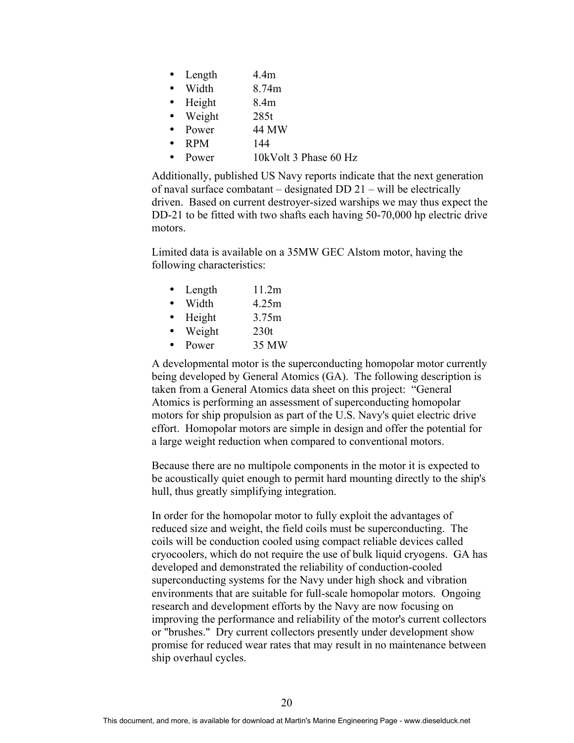- Length 4.4m
- Width 8.74m
- Height 8.4m
	- Weight 285t
- Power 44 MW
- RPM  $144$
- Power 10kVolt 3 Phase 60 Hz

Additionally, published US Navy reports indicate that the next generation of naval surface combatant – designated DD 21 – will be electrically driven. Based on current destroyer-sized warships we may thus expect the DD-21 to be fitted with two shafts each having 50-70,000 hp electric drive motors.

Limited data is available on a 35MW GEC Alstom motor, having the following characteristics:

- Length  $11.2m$
- Width 4.25m
- Height 3.75m
- Weight 230t
- Power 35 MW

A developmental motor is the superconducting homopolar motor currently being developed by General Atomics (GA). The following description is taken from a General Atomics data sheet on this project: "General Atomics is performing an assessment of superconducting homopolar motors for ship propulsion as part of the U.S. Navy's quiet electric drive effort. Homopolar motors are simple in design and offer the potential for a large weight reduction when compared to conventional motors.

Because there are no multipole components in the motor it is expected to be acoustically quiet enough to permit hard mounting directly to the ship's hull, thus greatly simplifying integration.

In order for the homopolar motor to fully exploit the advantages of reduced size and weight, the field coils must be superconducting. The coils will be conduction cooled using compact reliable devices called cryocoolers, which do not require the use of bulk liquid cryogens. GA has developed and demonstrated the reliability of conduction-cooled superconducting systems for the Navy under high shock and vibration environments that are suitable for full-scale homopolar motors. Ongoing research and development efforts by the Navy are now focusing on improving the performance and reliability of the motor's current collectors or "brushes." Dry current collectors presently under development show promise for reduced wear rates that may result in no maintenance between ship overhaul cycles.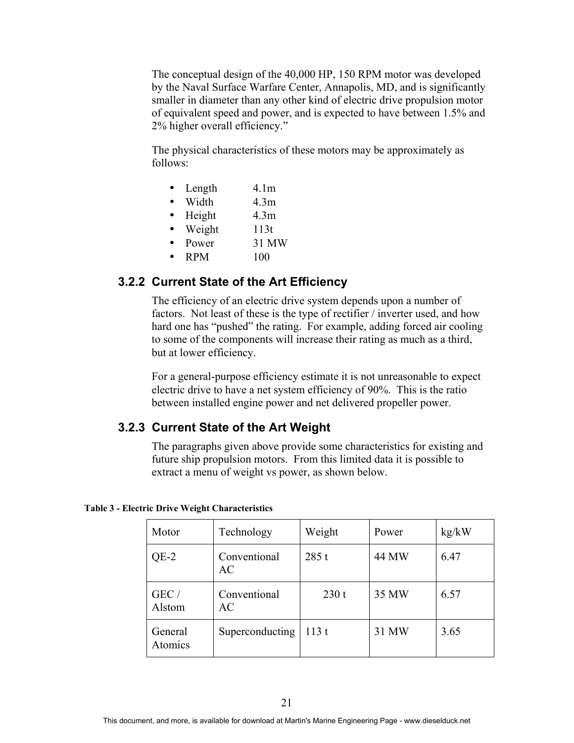The conceptual design of the 40,000 HP, 150 RPM motor was developed by the Naval Surface Warfare Center, Annapolis, MD, and is significantly smaller in diameter than any other kind of electric drive propulsion motor of equivalent speed and power, and is expected to have between 1.5% and 2% higher overall efficiency."

The physical characteristics of these motors may be approximately as follows:

- Length 4.1m
- Width 4.3m
- Height 4.3m
- Weight 113t
- Power 31 MW
- $RPM$  100

#### **3.2.2 Current State of the Art Efficiency**

The efficiency of an electric drive system depends upon a number of factors. Not least of these is the type of rectifier / inverter used, and how hard one has "pushed" the rating. For example, adding forced air cooling to some of the components will increase their rating as much as a third, but at lower efficiency.

For a general-purpose efficiency estimate it is not unreasonable to expect electric drive to have a net system efficiency of 90%. This is the ratio between installed engine power and net delivered propeller power.

#### **3.2.3 Current State of the Art Weight**

The paragraphs given above provide some characteristics for existing and future ship propulsion motors. From this limited data it is possible to extract a menu of weight vs power, as shown below.

| Motor              | Technology         | Weight | Power | kg/kW |
|--------------------|--------------------|--------|-------|-------|
| $QE-2$             | Conventional<br>AC | 285t   | 44 MW | 6.47  |
| GEC/<br>Alstom     | Conventional<br>AC | 230t   | 35 MW | 6.57  |
| General<br>Atomics | Superconducting    | 113t   | 31 MW | 3.65  |

#### **Table 3 - Electric Drive Weight Characteristics**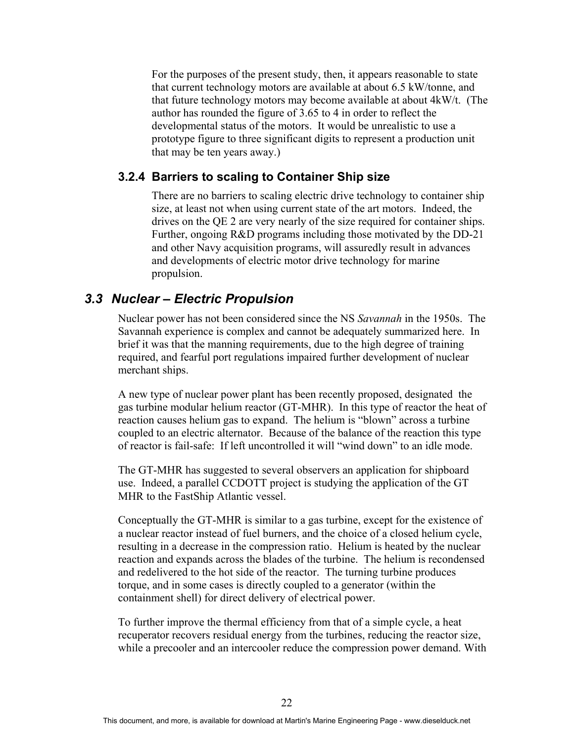For the purposes of the present study, then, it appears reasonable to state that current technology motors are available at about 6.5 kW/tonne, and that future technology motors may become available at about 4kW/t. (The author has rounded the figure of 3.65 to 4 in order to reflect the developmental status of the motors. It would be unrealistic to use a prototype figure to three significant digits to represent a production unit that may be ten years away.)

#### **3.2.4 Barriers to scaling to Container Ship size**

There are no barriers to scaling electric drive technology to container ship size, at least not when using current state of the art motors. Indeed, the drives on the QE 2 are very nearly of the size required for container ships. Further, ongoing R&D programs including those motivated by the DD-21 and other Navy acquisition programs, will assuredly result in advances and developments of electric motor drive technology for marine propulsion.

#### *3.3 Nuclear – Electric Propulsion*

Nuclear power has not been considered since the NS *Savannah* in the 1950s. The Savannah experience is complex and cannot be adequately summarized here. In brief it was that the manning requirements, due to the high degree of training required, and fearful port regulations impaired further development of nuclear merchant ships.

A new type of nuclear power plant has been recently proposed, designated the gas turbine modular helium reactor (GT-MHR). In this type of reactor the heat of reaction causes helium gas to expand. The helium is "blown" across a turbine coupled to an electric alternator. Because of the balance of the reaction this type of reactor is fail-safe: If left uncontrolled it will "wind down" to an idle mode.

The GT-MHR has suggested to several observers an application for shipboard use. Indeed, a parallel CCDOTT project is studying the application of the GT MHR to the FastShip Atlantic vessel.

Conceptually the GT-MHR is similar to a gas turbine, except for the existence of a nuclear reactor instead of fuel burners, and the choice of a closed helium cycle, resulting in a decrease in the compression ratio. Helium is heated by the nuclear reaction and expands across the blades of the turbine. The helium is recondensed and redelivered to the hot side of the reactor. The turning turbine produces torque, and in some cases is directly coupled to a generator (within the containment shell) for direct delivery of electrical power.

To further improve the thermal efficiency from that of a simple cycle, a heat recuperator recovers residual energy from the turbines, reducing the reactor size, while a precooler and an intercooler reduce the compression power demand. With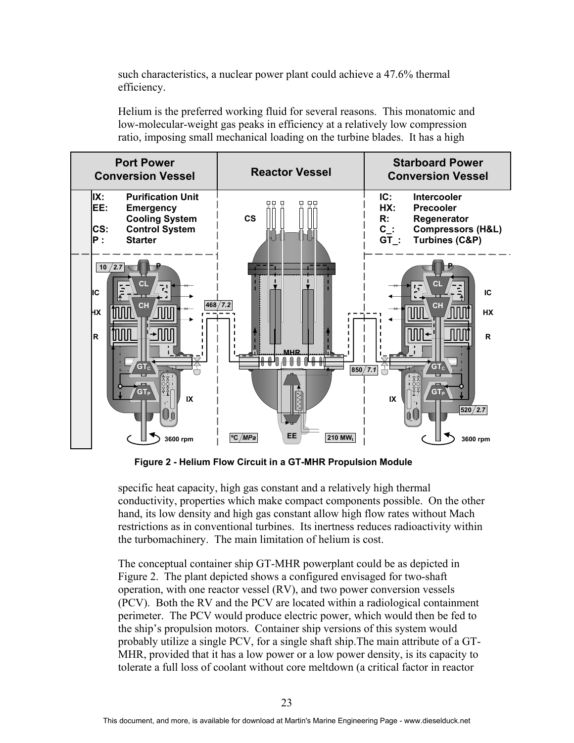such characteristics, a nuclear power plant could achieve a 47.6% thermal efficiency.

Helium is the preferred working fluid for several reasons. This monatomic and low-molecular-weight gas peaks in efficiency at a relatively low compression ratio, imposing small mechanical loading on the turbine blades. It has a high



**Figure 2 - Helium Flow Circuit in a GT-MHR Propulsion Module**

specific heat capacity, high gas constant and a relatively high thermal conductivity, properties which make compact components possible. On the other hand, its low density and high gas constant allow high flow rates without Mach restrictions as in conventional turbines. Its inertness reduces radioactivity within the turbomachinery. The main limitation of helium is cost.

The conceptual container ship GT-MHR powerplant could be as depicted in Figure 2. The plant depicted shows a configured envisaged for two-shaft operation, with one reactor vessel (RV), and two power conversion vessels (PCV). Both the RV and the PCV are located within a radiological containment perimeter. The PCV would produce electric power, which would then be fed to the ship's propulsion motors. Container ship versions of this system would probably utilize a single PCV, for a single shaft ship.The main attribute of a GT-MHR, provided that it has a low power or a low power density, is its capacity to tolerate a full loss of coolant without core meltdown (a critical factor in reactor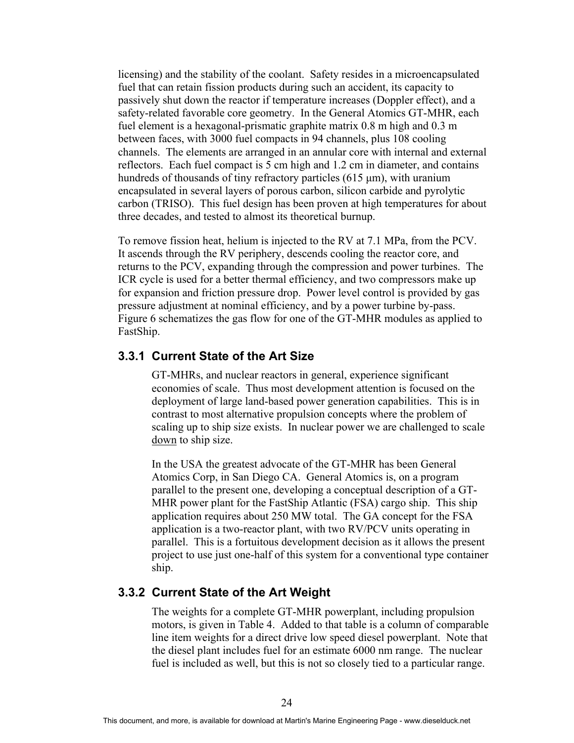licensing) and the stability of the coolant. Safety resides in a microencapsulated fuel that can retain fission products during such an accident, its capacity to passively shut down the reactor if temperature increases (Doppler effect), and a safety-related favorable core geometry. In the General Atomics GT-MHR, each fuel element is a hexagonal-prismatic graphite matrix 0.8 m high and 0.3 m between faces, with 3000 fuel compacts in 94 channels, plus 108 cooling channels. The elements are arranged in an annular core with internal and external reflectors. Each fuel compact is 5 cm high and 1.2 cm in diameter, and contains hundreds of thousands of tiny refractory particles  $(615 \mu m)$ , with uranium encapsulated in several layers of porous carbon, silicon carbide and pyrolytic carbon (TRISO). This fuel design has been proven at high temperatures for about three decades, and tested to almost its theoretical burnup.

To remove fission heat, helium is injected to the RV at 7.1 MPa, from the PCV. It ascends through the RV periphery, descends cooling the reactor core, and returns to the PCV, expanding through the compression and power turbines. The ICR cycle is used for a better thermal efficiency, and two compressors make up for expansion and friction pressure drop. Power level control is provided by gas pressure adjustment at nominal efficiency, and by a power turbine by-pass. Figure 6 schematizes the gas flow for one of the GT-MHR modules as applied to FastShip.

### **3.3.1 Current State of the Art Size**

GT-MHRs, and nuclear reactors in general, experience significant economies of scale. Thus most development attention is focused on the deployment of large land-based power generation capabilities. This is in contrast to most alternative propulsion concepts where the problem of scaling up to ship size exists. In nuclear power we are challenged to scale down to ship size.

In the USA the greatest advocate of the GT-MHR has been General Atomics Corp, in San Diego CA. General Atomics is, on a program parallel to the present one, developing a conceptual description of a GT-MHR power plant for the FastShip Atlantic (FSA) cargo ship. This ship application requires about 250 MW total. The GA concept for the FSA application is a two-reactor plant, with two RV/PCV units operating in parallel. This is a fortuitous development decision as it allows the present project to use just one-half of this system for a conventional type container ship.

#### **3.3.2 Current State of the Art Weight**

The weights for a complete GT-MHR powerplant, including propulsion motors, is given in Table 4. Added to that table is a column of comparable line item weights for a direct drive low speed diesel powerplant. Note that the diesel plant includes fuel for an estimate 6000 nm range. The nuclear fuel is included as well, but this is not so closely tied to a particular range.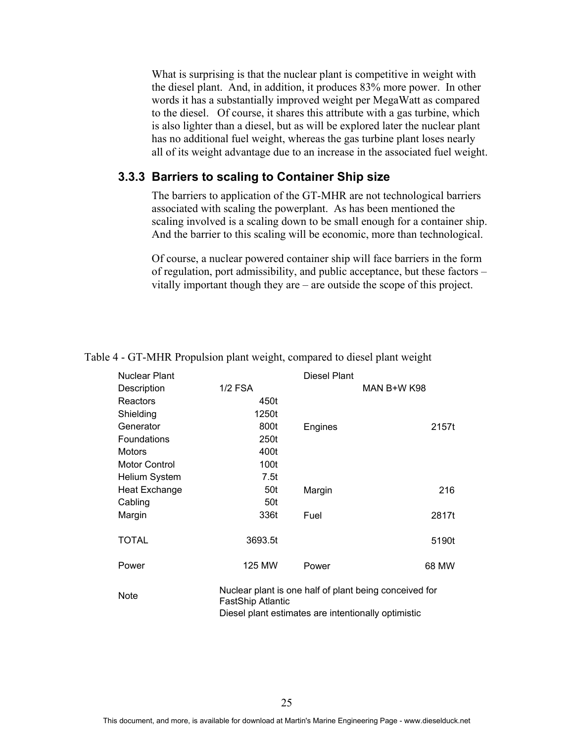What is surprising is that the nuclear plant is competitive in weight with the diesel plant. And, in addition, it produces 83% more power. In other words it has a substantially improved weight per MegaWatt as compared to the diesel. Of course, it shares this attribute with a gas turbine, which is also lighter than a diesel, but as will be explored later the nuclear plant has no additional fuel weight, whereas the gas turbine plant loses nearly all of its weight advantage due to an increase in the associated fuel weight.

#### **3.3.3 Barriers to scaling to Container Ship size**

The barriers to application of the GT-MHR are not technological barriers associated with scaling the powerplant. As has been mentioned the scaling involved is a scaling down to be small enough for a container ship. And the barrier to this scaling will be economic, more than technological.

Of course, a nuclear powered container ship will face barriers in the form of regulation, port admissibility, and public acceptance, but these factors – vitally important though they are – are outside the scope of this project.

| Nuclear Plant        |                   | Diesel Plant |                                                        |
|----------------------|-------------------|--------------|--------------------------------------------------------|
| Description          | <b>1/2 FSA</b>    |              | MAN B+W K98                                            |
| Reactors             | 450t              |              |                                                        |
| Shielding            | 1250t             |              |                                                        |
| Generator            | 800t              | Engines      | 2157t                                                  |
| <b>Foundations</b>   | 250t              |              |                                                        |
| <b>Motors</b>        | 400t              |              |                                                        |
| <b>Motor Control</b> | 100t              |              |                                                        |
| <b>Helium System</b> | 7.5t              |              |                                                        |
| <b>Heat Exchange</b> | 50t               | Margin       | 216                                                    |
| Cabling              | 50t               |              |                                                        |
| Margin               | 336t              | Fuel         | 2817t                                                  |
| <b>TOTAL</b>         | 3693.5t           |              | 5190t                                                  |
| Power                | 125 MW            | Power        | 68 MW                                                  |
| <b>Note</b>          | FastShip Atlantic |              | Nuclear plant is one half of plant being conceived for |

#### Table 4 - GT-MHR Propulsion plant weight, compared to diesel plant weight

FastShip Atlantic Diesel plant estimates are intentionally optimistic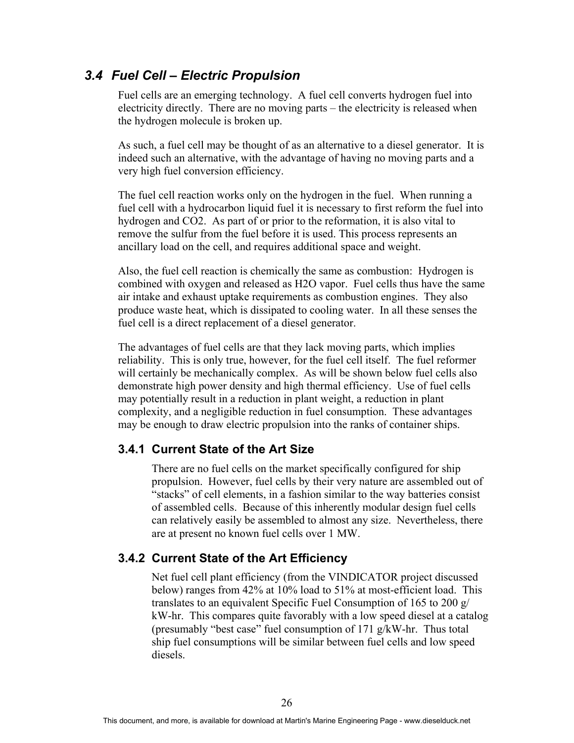## *3.4 Fuel Cell – Electric Propulsion*

Fuel cells are an emerging technology. A fuel cell converts hydrogen fuel into electricity directly. There are no moving parts – the electricity is released when the hydrogen molecule is broken up.

As such, a fuel cell may be thought of as an alternative to a diesel generator. It is indeed such an alternative, with the advantage of having no moving parts and a very high fuel conversion efficiency.

The fuel cell reaction works only on the hydrogen in the fuel. When running a fuel cell with a hydrocarbon liquid fuel it is necessary to first reform the fuel into hydrogen and CO2. As part of or prior to the reformation, it is also vital to remove the sulfur from the fuel before it is used. This process represents an ancillary load on the cell, and requires additional space and weight.

Also, the fuel cell reaction is chemically the same as combustion: Hydrogen is combined with oxygen and released as H2O vapor. Fuel cells thus have the same air intake and exhaust uptake requirements as combustion engines. They also produce waste heat, which is dissipated to cooling water. In all these senses the fuel cell is a direct replacement of a diesel generator.

The advantages of fuel cells are that they lack moving parts, which implies reliability. This is only true, however, for the fuel cell itself. The fuel reformer will certainly be mechanically complex. As will be shown below fuel cells also demonstrate high power density and high thermal efficiency. Use of fuel cells may potentially result in a reduction in plant weight, a reduction in plant complexity, and a negligible reduction in fuel consumption. These advantages may be enough to draw electric propulsion into the ranks of container ships.

### **3.4.1 Current State of the Art Size**

There are no fuel cells on the market specifically configured for ship propulsion. However, fuel cells by their very nature are assembled out of "stacks" of cell elements, in a fashion similar to the way batteries consist of assembled cells. Because of this inherently modular design fuel cells can relatively easily be assembled to almost any size. Nevertheless, there are at present no known fuel cells over 1 MW.

### **3.4.2 Current State of the Art Efficiency**

Net fuel cell plant efficiency (from the VINDICATOR project discussed below) ranges from 42% at 10% load to 51% at most-efficient load. This translates to an equivalent Specific Fuel Consumption of 165 to 200 g/ kW-hr. This compares quite favorably with a low speed diesel at a catalog (presumably "best case" fuel consumption of 171 g/kW-hr. Thus total ship fuel consumptions will be similar between fuel cells and low speed diesels.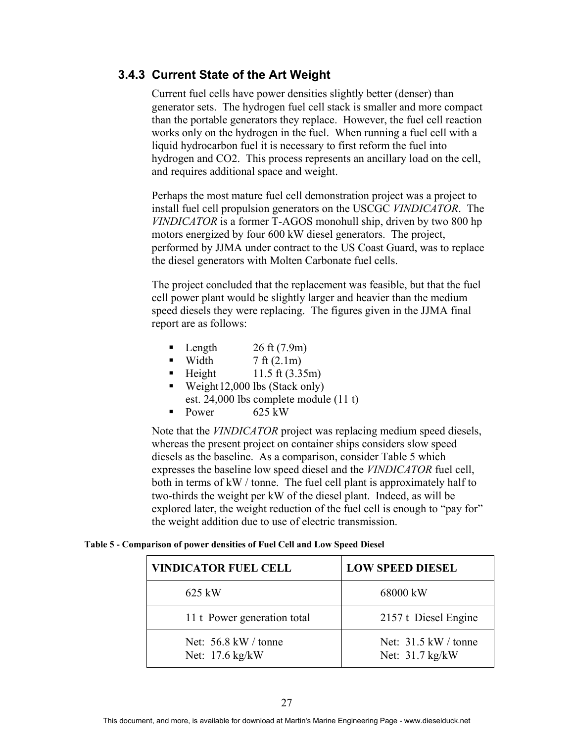### **3.4.3 Current State of the Art Weight**

Current fuel cells have power densities slightly better (denser) than generator sets. The hydrogen fuel cell stack is smaller and more compact than the portable generators they replace. However, the fuel cell reaction works only on the hydrogen in the fuel. When running a fuel cell with a liquid hydrocarbon fuel it is necessary to first reform the fuel into hydrogen and CO2. This process represents an ancillary load on the cell, and requires additional space and weight.

Perhaps the most mature fuel cell demonstration project was a project to install fuel cell propulsion generators on the USCGC *VINDICATOR*. The *VINDICATOR* is a former T-AGOS monohull ship, driven by two 800 hp motors energized by four 600 kW diesel generators. The project, performed by JJMA under contract to the US Coast Guard, was to replace the diesel generators with Molten Carbonate fuel cells.

The project concluded that the replacement was feasible, but that the fuel cell power plant would be slightly larger and heavier than the medium speed diesels they were replacing. The figures given in the JJMA final report are as follows:

- Length  $26 \text{ ft} (7.9 \text{ m})$
- Width  $7 \text{ ft} (2.1 \text{ m})$
- Height  $11.5 \text{ ft} (3.35 \text{ m})$
- Weight 12,000 lbs (Stack only) est. 24,000 lbs complete module (11 t)
- Power  $625 \text{ kW}$

Note that the *VINDICATOR* project was replacing medium speed diesels, whereas the present project on container ships considers slow speed diesels as the baseline. As a comparison, consider Table 5 which expresses the baseline low speed diesel and the *VINDICATOR* fuel cell, both in terms of kW / tonne. The fuel cell plant is approximately half to two-thirds the weight per kW of the diesel plant. Indeed, as will be explored later, the weight reduction of the fuel cell is enough to "pay for" the weight addition due to use of electric transmission.

#### **Table 5 - Comparison of power densities of Fuel Cell and Low Speed Diesel**

| <b>VINDICATOR FUEL CELL</b>               | <b>LOW SPEED DIESEL</b>                   |
|-------------------------------------------|-------------------------------------------|
| 625 kW                                    | 68000 kW                                  |
| 11 t Power generation total               | 2157 t Diesel Engine                      |
| Net: $56.8$ kW / tonne<br>Net: 17.6 kg/kW | Net: $31.5$ kW / tonne<br>Net: 31.7 kg/kW |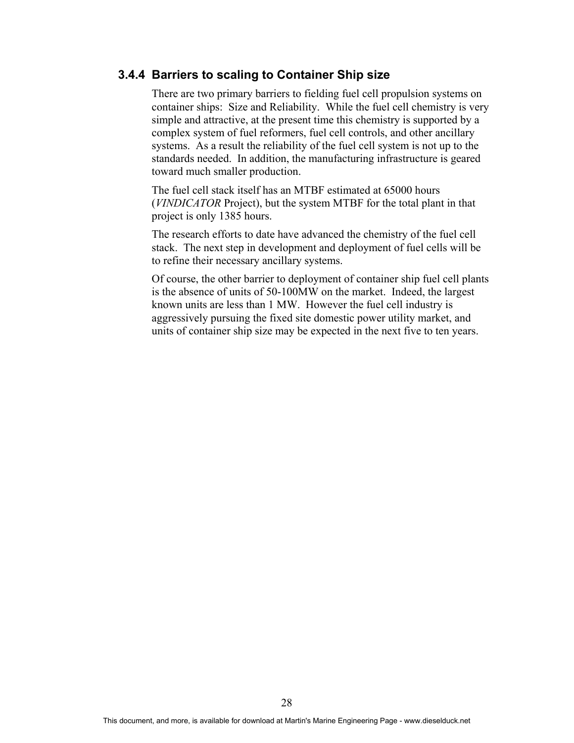#### **3.4.4 Barriers to scaling to Container Ship size**

There are two primary barriers to fielding fuel cell propulsion systems on container ships: Size and Reliability. While the fuel cell chemistry is very simple and attractive, at the present time this chemistry is supported by a complex system of fuel reformers, fuel cell controls, and other ancillary systems. As a result the reliability of the fuel cell system is not up to the standards needed. In addition, the manufacturing infrastructure is geared toward much smaller production.

The fuel cell stack itself has an MTBF estimated at 65000 hours (*VINDICATOR* Project), but the system MTBF for the total plant in that project is only 1385 hours.

The research efforts to date have advanced the chemistry of the fuel cell stack. The next step in development and deployment of fuel cells will be to refine their necessary ancillary systems.

Of course, the other barrier to deployment of container ship fuel cell plants is the absence of units of 50-100MW on the market. Indeed, the largest known units are less than 1 MW. However the fuel cell industry is aggressively pursuing the fixed site domestic power utility market, and units of container ship size may be expected in the next five to ten years.